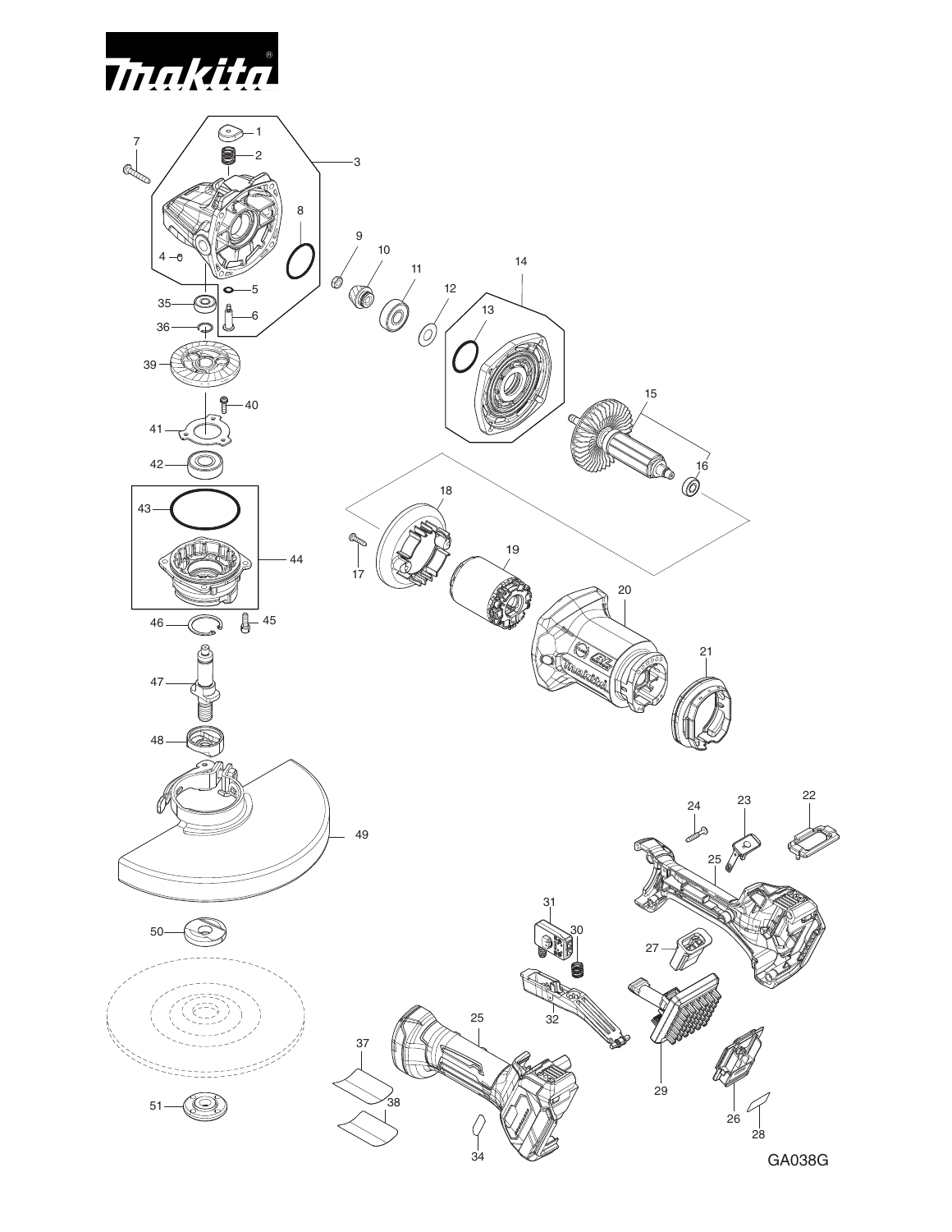

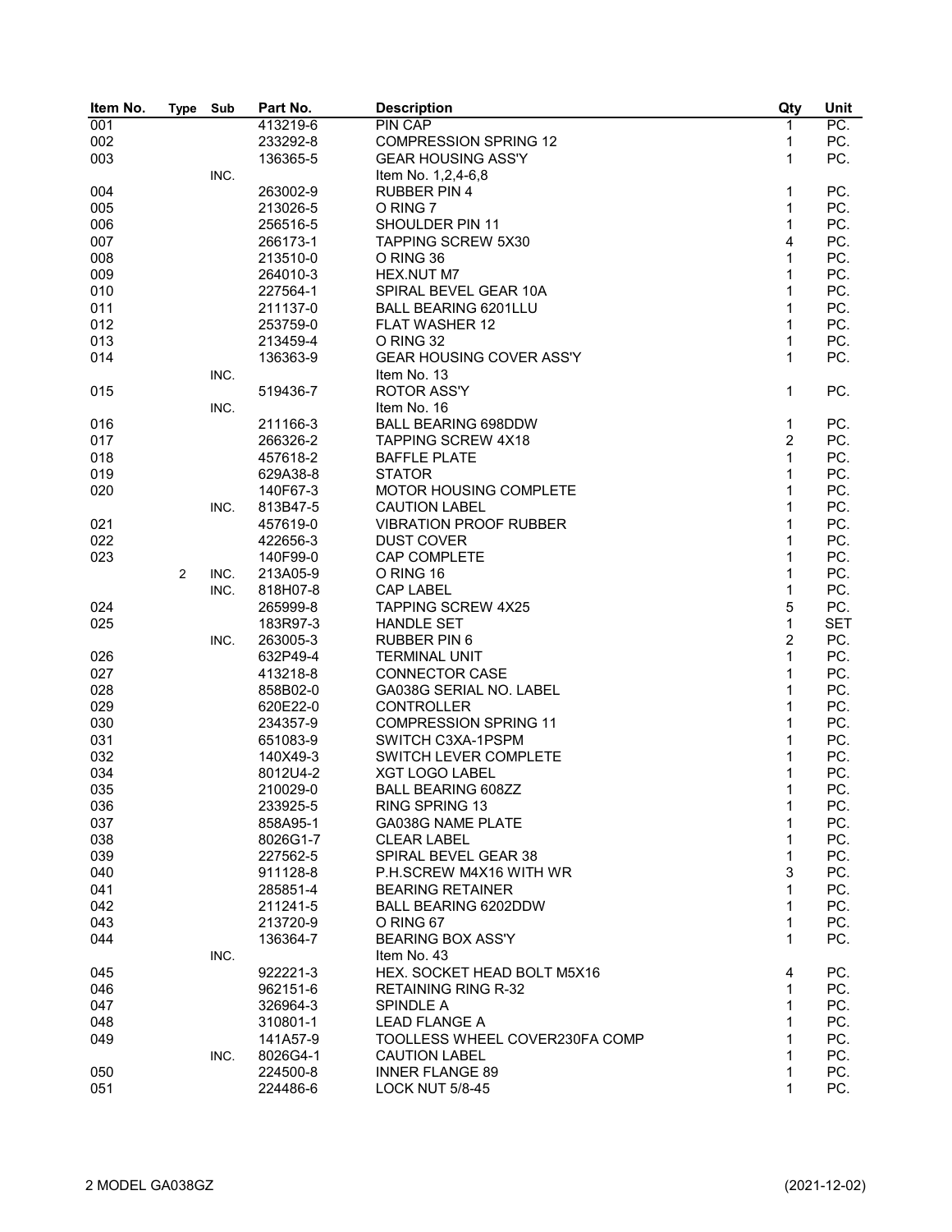| Item No. | <b>Type</b> | Sub  | Part No. | <b>Description</b>              | Qty            | Unit       |
|----------|-------------|------|----------|---------------------------------|----------------|------------|
| 001      |             |      | 413219-6 | <b>PIN CAP</b>                  | $\mathbf{1}$   | PC.        |
| 002      |             |      | 233292-8 | <b>COMPRESSION SPRING 12</b>    | 1              | PC.        |
| 003      |             |      | 136365-5 | <b>GEAR HOUSING ASS'Y</b>       | $\mathbf{1}$   | PC.        |
|          |             | INC. |          | Item No. 1,2,4-6,8              |                |            |
| 004      |             |      | 263002-9 | <b>RUBBER PIN 4</b>             | 1              | PC.        |
| 005      |             |      | 213026-5 | O RING 7                        | 1              | PC.        |
| 006      |             |      | 256516-5 | SHOULDER PIN 11                 | 1              | PC.        |
| 007      |             |      | 266173-1 | <b>TAPPING SCREW 5X30</b>       | 4              | PC.        |
| 008      |             |      | 213510-0 | O RING 36                       | 1              | PC.        |
| 009      |             |      | 264010-3 | HEX.NUT M7                      | $\mathbf{1}$   | PC.        |
|          |             |      |          |                                 | 1              |            |
| 010      |             |      | 227564-1 | SPIRAL BEVEL GEAR 10A           |                | PC.        |
| 011      |             |      | 211137-0 | <b>BALL BEARING 6201LLU</b>     | 1              | PC.        |
| 012      |             |      | 253759-0 | <b>FLAT WASHER 12</b>           | 1              | PC.        |
| 013      |             |      | 213459-4 | O RING 32                       | 1              | PC.        |
| 014      |             |      | 136363-9 | <b>GEAR HOUSING COVER ASS'Y</b> | 1              | PC.        |
|          |             | INC. |          | Item No. 13                     |                |            |
| 015      |             |      | 519436-7 | <b>ROTOR ASS'Y</b>              | $\mathbf{1}$   | PC.        |
|          |             | INC. |          | Item No. 16                     |                |            |
| 016      |             |      | 211166-3 | <b>BALL BEARING 698DDW</b>      | 1              | PC.        |
| 017      |             |      | 266326-2 | <b>TAPPING SCREW 4X18</b>       | $\overline{2}$ | PC.        |
| 018      |             |      | 457618-2 | <b>BAFFLE PLATE</b>             | 1              | PC.        |
| 019      |             |      | 629A38-8 | <b>STATOR</b>                   | 1              | PC.        |
| 020      |             |      | 140F67-3 | MOTOR HOUSING COMPLETE          | 1              | PC.        |
|          |             | INC. | 813B47-5 | <b>CAUTION LABEL</b>            | 1              | PC.        |
| 021      |             |      | 457619-0 | <b>VIBRATION PROOF RUBBER</b>   | 1              | PC.        |
| 022      |             |      | 422656-3 | <b>DUST COVER</b>               | $\mathbf 1$    | PC.        |
| 023      |             |      | 140F99-0 | CAP COMPLETE                    | 1              | PC.        |
|          | 2           | INC. | 213A05-9 | O RING 16                       | 1              | PC.        |
|          |             | INC. | 818H07-8 | <b>CAP LABEL</b>                | 1              | PC.        |
|          |             |      |          |                                 | 5              | PC.        |
| 024      |             |      | 265999-8 | <b>TAPPING SCREW 4X25</b>       |                |            |
| 025      |             |      | 183R97-3 | <b>HANDLE SET</b>               | 1              | <b>SET</b> |
|          |             | INC. | 263005-3 | <b>RUBBER PIN 6</b>             | $\overline{c}$ | PC.        |
| 026      |             |      | 632P49-4 | <b>TERMINAL UNIT</b>            | $\mathbf{1}$   | PC.        |
| 027      |             |      | 413218-8 | <b>CONNECTOR CASE</b>           | $\mathbf 1$    | PC.        |
| 028      |             |      | 858B02-0 | GA038G SERIAL NO. LABEL         | $\mathbf 1$    | PC.        |
| 029      |             |      | 620E22-0 | <b>CONTROLLER</b>               | 1              | PC.        |
| 030      |             |      | 234357-9 | <b>COMPRESSION SPRING 11</b>    | 1              | PC.        |
| 031      |             |      | 651083-9 | SWITCH C3XA-1PSPM               | 1              | PC.        |
| 032      |             |      | 140X49-3 | SWITCH LEVER COMPLETE           | 1              | PC.        |
| 034      |             |      | 8012U4-2 | <b>XGT LOGO LABEL</b>           | 1              | PC.        |
| 035      |             |      | 210029-0 | <b>BALL BEARING 608ZZ</b>       | 1              | PC.        |
| 036      |             |      | 233925-5 | RING SPRING 13                  | 1              | PC.        |
| 037      |             |      | 858A95-1 | GA038G NAME PLATE               | 1              | PC.        |
| 038      |             |      | 8026G1-7 | <b>CLEAR LABEL</b>              | 1              | PC.        |
| 039      |             |      | 227562-5 | SPIRAL BEVEL GEAR 38            | 1              | PC.        |
| 040      |             |      | 911128-8 | P.H.SCREW M4X16 WITH WR         | 3              | PC.        |
| 041      |             |      | 285851-4 | <b>BEARING RETAINER</b>         | 1              | PC.        |
| 042      |             |      | 211241-5 | BALL BEARING 6202DDW            | 1              | PC.        |
| 043      |             |      | 213720-9 | O RING 67                       | 1              | PC.        |
| 044      |             |      | 136364-7 | <b>BEARING BOX ASS'Y</b>        | 1              | PC.        |
|          |             | INC. |          | Item No. 43                     |                |            |
|          |             |      |          | HEX. SOCKET HEAD BOLT M5X16     |                |            |
| 045      |             |      | 922221-3 |                                 | 4              | PC.        |
| 046      |             |      | 962151-6 | <b>RETAINING RING R-32</b>      | 1              | PC.        |
| 047      |             |      | 326964-3 | SPINDLE A                       | 1              | PC.        |
| 048      |             |      | 310801-1 | <b>LEAD FLANGE A</b>            | 1              | PC.        |
| 049      |             |      | 141A57-9 | TOOLLESS WHEEL COVER230FA COMP  | 1              | PC.        |
|          |             | INC. | 8026G4-1 | <b>CAUTION LABEL</b>            | 1              | PC.        |
| 050      |             |      | 224500-8 | <b>INNER FLANGE 89</b>          | 1              | PC.        |
| 051      |             |      | 224486-6 | <b>LOCK NUT 5/8-45</b>          | 1              | PC.        |